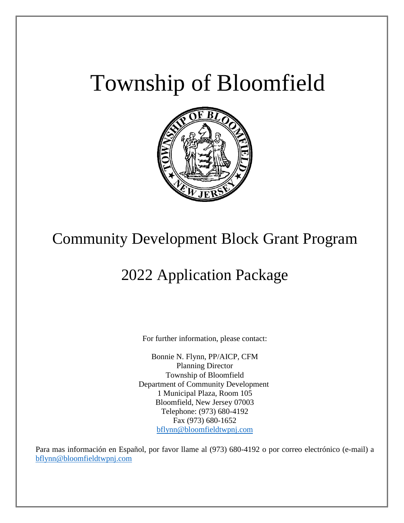# Township of Bloomfield



# Community Development Block Grant Program

# 2022 Application Package

For further information, please contact:

Bonnie N. Flynn, PP/AICP, CFM Planning Director Township of Bloomfield Department of Community Development 1 Municipal Plaza, Room 105 Bloomfield, New Jersey 07003 Telephone: (973) 680-4192 Fax (973) 680-1652 [bflynn@bloomfieldtwpnj.com](mailto:bflynn@bloomfieldtwpnj.com)

Para mas información en Español, por favor llame al (973) 680-4192 o por correo electrónico (e-mail) a [bflynn@bloomfieldtwpnj.com](mailto:bflynn@bloomfieldtwpnj.com)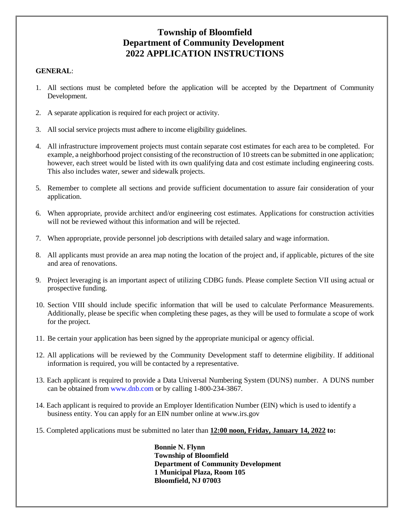#### **Township of Bloomfield Department of Community Development 2022 APPLICATION INSTRUCTIONS**

#### **GENERAL**:

Ī

- 1. All sections must be completed before the application will be accepted by the Department of Community Development.
- 2. A separate application is required for each project or activity.
- 3. All social service projects must adhere to income eligibility guidelines.
- 4. All infrastructure improvement projects must contain separate cost estimates for each area to be completed. For example, a neighborhood project consisting of the reconstruction of 10 streets can be submitted in one application; however, each street would be listed with its own qualifying data and cost estimate including engineering costs. This also includes water, sewer and sidewalk projects.
- 5. Remember to complete all sections and provide sufficient documentation to assure fair consideration of your application.
- 6. When appropriate, provide architect and/or engineering cost estimates. Applications for construction activities will not be reviewed without this information and will be rejected.
- 7. When appropriate, provide personnel job descriptions with detailed salary and wage information.
- 8. All applicants must provide an area map noting the location of the project and, if applicable, pictures of the site and area of renovations.
- 9. Project leveraging is an important aspect of utilizing CDBG funds. Please complete Section VII using actual or prospective funding.
- 10. Section VIII should include specific information that will be used to calculate Performance Measurements. Additionally, please be specific when completing these pages, as they will be used to formulate a scope of work for the project.
- 11. Be certain your application has been signed by the appropriate municipal or agency official.
- 12. All applications will be reviewed by the Community Development staff to determine eligibility. If additional information is required, you will be contacted by a representative.
- 13. Each applicant is required to provide a Data Universal Numbering System (DUNS) number. A DUNS number can be obtained from www.dnb.com or by calling 1-800-234-3867.
- 14. Each applicant is required to provide an Employer Identification Number (EIN) which is used to identify a business entity. You can apply for an EIN number online at www.irs.gov
- 15. Completed applications must be submitted no later than **12:00 noon, Friday, January 14, 2022 to:**

 **Bonnie N. Flynn Township of Bloomfield Department of Community Development 1 Municipal Plaza, Room 105 Bloomfield, NJ 07003**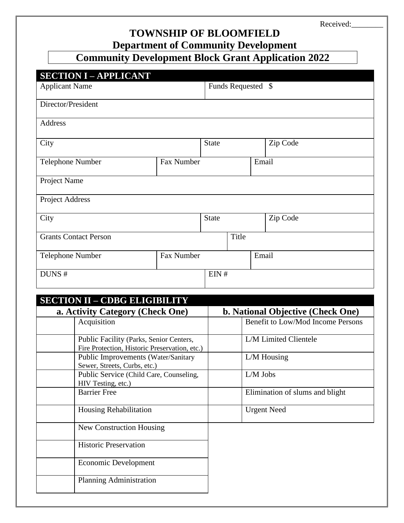Received:

### **TOWNSHIP OF BLOOMFIELD Department of Community Development**

# **Community Development Block Grant Application 2022**

| <b>SECTION I - APPLICANT</b> |            |              |                    |       |          |  |  |
|------------------------------|------------|--------------|--------------------|-------|----------|--|--|
| <b>Applicant Name</b>        |            |              | Funds Requested \$ |       |          |  |  |
| Director/President           |            |              |                    |       |          |  |  |
| Address                      |            |              |                    |       |          |  |  |
| City                         |            |              | <b>State</b>       |       | Zip Code |  |  |
| Telephone Number             | Fax Number |              |                    | Email |          |  |  |
| Project Name                 |            |              |                    |       |          |  |  |
| Project Address              |            |              |                    |       |          |  |  |
| City                         |            | <b>State</b> |                    |       | Zip Code |  |  |
| <b>Grants Contact Person</b> |            |              | Title              |       |          |  |  |
| Telephone Number             | Fax Number |              |                    | Email |          |  |  |
| DUNS#                        |            | EIN#         |                    |       |          |  |  |

| <b>SECTION II - CDBG ELIGIBILITY</b>                                                     |                                          |
|------------------------------------------------------------------------------------------|------------------------------------------|
| a. Activity Category (Check One)                                                         | <b>b.</b> National Objective (Check One) |
| Acquisition                                                                              | Benefit to Low/Mod Income Persons        |
| Public Facility (Parks, Senior Centers,<br>Fire Protection, Historic Preservation, etc.) | L/M Limited Clientele                    |
| Public Improvements (Water/Sanitary<br>Sewer, Streets, Curbs, etc.)                      | $L/M$ Housing                            |
| Public Service (Child Care, Counseling,<br>HIV Testing, etc.)                            | $L/M$ Jobs                               |
| <b>Barrier Free</b>                                                                      | Elimination of slums and blight          |
| Housing Rehabilitation                                                                   | <b>Urgent Need</b>                       |
| New Construction Housing                                                                 |                                          |
| <b>Historic Preservation</b>                                                             |                                          |
| Economic Development                                                                     |                                          |
| Planning Administration                                                                  |                                          |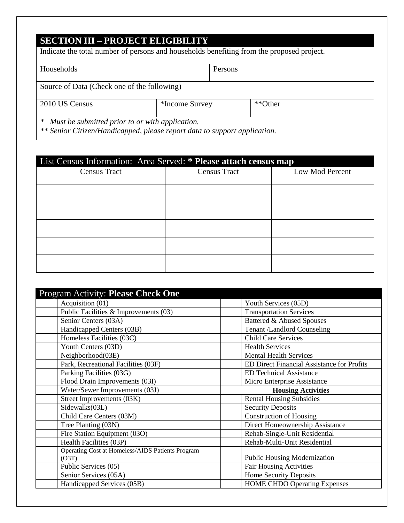## **SECTION III – PROJECT ELIGIBILITY**

Ī

| Indicate the total number of persons and households benefiting from the proposed project.                                                                                                 |                           |         |  |
|-------------------------------------------------------------------------------------------------------------------------------------------------------------------------------------------|---------------------------|---------|--|
| Households                                                                                                                                                                                |                           | Persons |  |
| Source of Data (Check one of the following)                                                                                                                                               |                           |         |  |
| 2010 US Census                                                                                                                                                                            | **Other<br>*Income Survey |         |  |
| Must be submitted prior to or with application.<br>$\ast$<br>$\mathcal{L}$ , and the set of $\mathcal{L}$ , and $\mathcal{L}$ , and $\mathcal{L}$ , and $\mathcal{L}$ , and $\mathcal{L}$ |                           |         |  |

*\*\* Senior Citizen/Handicapped, please report data to support application.*

| List Census Information: Area Served: * Please attach census map |                     |                 |  |  |  |  |
|------------------------------------------------------------------|---------------------|-----------------|--|--|--|--|
| <b>Census Tract</b>                                              | <b>Census Tract</b> | Low Mod Percent |  |  |  |  |
|                                                                  |                     |                 |  |  |  |  |
|                                                                  |                     |                 |  |  |  |  |
|                                                                  |                     |                 |  |  |  |  |
|                                                                  |                     |                 |  |  |  |  |
|                                                                  |                     |                 |  |  |  |  |
|                                                                  |                     |                 |  |  |  |  |
|                                                                  |                     |                 |  |  |  |  |
|                                                                  |                     |                 |  |  |  |  |
|                                                                  |                     |                 |  |  |  |  |
|                                                                  |                     |                 |  |  |  |  |

| Program Activity: Please Check One               |                                            |
|--------------------------------------------------|--------------------------------------------|
| Acquisition (01)                                 | Youth Services (05D)                       |
| Public Facilities & Improvements (03)            | <b>Transportation Services</b>             |
| Senior Centers (03A)                             | Battered & Abused Spouses                  |
| Handicapped Centers (03B)                        | <b>Tenant /Landlord Counseling</b>         |
| Homeless Facilities (03C)                        | <b>Child Care Services</b>                 |
| Youth Centers (03D)                              | <b>Health Services</b>                     |
| Neighborhood(03E)                                | <b>Mental Health Services</b>              |
| Park, Recreational Facilities (03F)              | ED Direct Financial Assistance for Profits |
| Parking Facilities (03G)                         | <b>ED Technical Assistance</b>             |
| Flood Drain Improvements (03I)                   | Micro Enterprise Assistance                |
| Water/Sewer Improvements (03J)                   | <b>Housing Activities</b>                  |
| Street Improvements (03K)                        | <b>Rental Housing Subsidies</b>            |
| Sidewalks(03L)                                   | <b>Security Deposits</b>                   |
| Child Care Centers (03M)                         | <b>Construction of Housing</b>             |
| Tree Planting (03N)                              | Direct Homeownership Assistance            |
| Fire Station Equipment (03O)                     | Rehab-Single-Unit Residential              |
| Health Facilities (03P)                          | Rehab-Multi-Unit Residential               |
| Operating Cost at Homeless/AIDS Patients Program |                                            |
| (O3T)                                            | Public Housing Modernization               |
| Public Services (05)                             | <b>Fair Housing Activities</b>             |
| Senior Services (05A)                            | Home Security Deposits                     |
| Handicapped Services (05B)                       | <b>HOME CHDO Operating Expenses</b>        |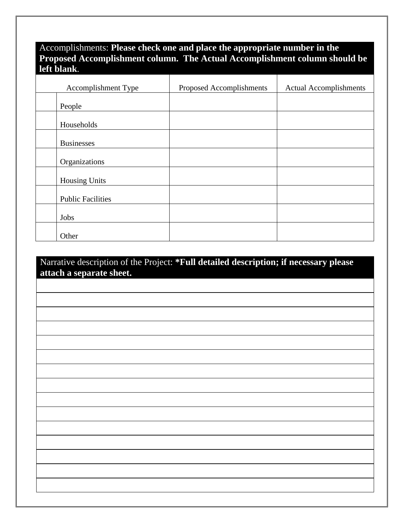#### Accomplishments: **Please check one and place the appropriate number in the Proposed Accomplishment column. The Actual Accomplishment column should be left blank**.

| Accomplishment Type      | Proposed Accomplishments | <b>Actual Accomplishments</b> |
|--------------------------|--------------------------|-------------------------------|
| People                   |                          |                               |
| Households               |                          |                               |
| <b>Businesses</b>        |                          |                               |
| Organizations            |                          |                               |
| <b>Housing Units</b>     |                          |                               |
| <b>Public Facilities</b> |                          |                               |
| Jobs                     |                          |                               |
| Other                    |                          |                               |

#### Narrative description of the Project: **\*Full detailed description; if necessary please attach a separate sheet.**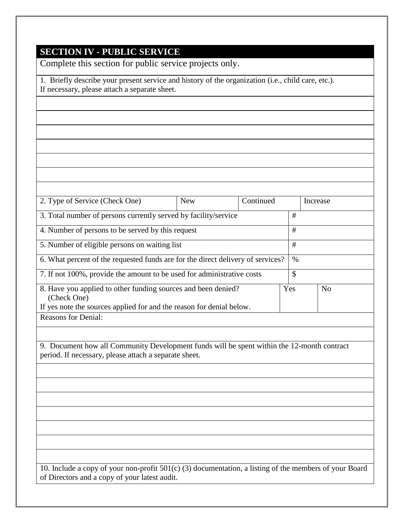# **SECTION IV - PUBLIC SERVICE**

Ī

Complete this section for public service projects only.

| 1. Briefly describe your present service and history of the organization (i.e., child care, etc.).<br>If necessary, please attach a separate sheet. |            |           |      |          |                |
|-----------------------------------------------------------------------------------------------------------------------------------------------------|------------|-----------|------|----------|----------------|
|                                                                                                                                                     |            |           |      |          |                |
|                                                                                                                                                     |            |           |      |          |                |
|                                                                                                                                                     |            |           |      |          |                |
|                                                                                                                                                     |            |           |      |          |                |
|                                                                                                                                                     |            |           |      |          |                |
|                                                                                                                                                     |            |           |      |          |                |
|                                                                                                                                                     |            |           |      |          |                |
| 2. Type of Service (Check One)                                                                                                                      | <b>New</b> | Continued |      | Increase |                |
| 3. Total number of persons currently served by facility/service                                                                                     |            |           | #    |          |                |
| 4. Number of persons to be served by this request                                                                                                   |            |           | #    |          |                |
| 5. Number of eligible persons on waiting list                                                                                                       |            |           | #    |          |                |
| 6. What percent of the requested funds are for the direct delivery of services?                                                                     |            |           | $\%$ |          |                |
| 7. If not 100%, provide the amount to be used for administrative costs                                                                              |            |           | \$   |          |                |
| 8. Have you applied to other funding sources and been denied?                                                                                       |            |           | Yes  |          | N <sub>o</sub> |
| (Check One)<br>If yes note the sources applied for and the reason for denial below.                                                                 |            |           |      |          |                |
| <b>Reasons for Denial:</b>                                                                                                                          |            |           |      |          |                |
|                                                                                                                                                     |            |           |      |          |                |
| 9. Document how all Community Development funds will be spent within the 12-month contract<br>period. If necessary, please attach a separate sheet. |            |           |      |          |                |
|                                                                                                                                                     |            |           |      |          |                |
|                                                                                                                                                     |            |           |      |          |                |
|                                                                                                                                                     |            |           |      |          |                |
|                                                                                                                                                     |            |           |      |          |                |
|                                                                                                                                                     |            |           |      |          |                |
|                                                                                                                                                     |            |           |      |          |                |
|                                                                                                                                                     |            |           |      |          |                |
| 10. Include a copy of your non-profit $501(c)$ (3) documentation, a listing of the members of your Board                                            |            |           |      |          |                |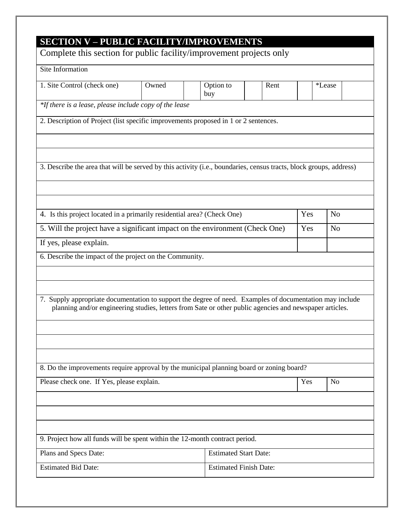| <b>SECTION V - PUBLIC FACILITY/IMPROVEMENTS</b><br>Complete this section for public facility/improvement projects only                                                                                              |       |                               |      |     |                |  |
|---------------------------------------------------------------------------------------------------------------------------------------------------------------------------------------------------------------------|-------|-------------------------------|------|-----|----------------|--|
| Site Information                                                                                                                                                                                                    |       |                               |      |     |                |  |
| 1. Site Control (check one)                                                                                                                                                                                         | Owned | Option to<br>buy              | Rent |     | *Lease         |  |
| *If there is a lease, please include copy of the lease                                                                                                                                                              |       |                               |      |     |                |  |
| 2. Description of Project (list specific improvements proposed in 1 or 2 sentences.                                                                                                                                 |       |                               |      |     |                |  |
|                                                                                                                                                                                                                     |       |                               |      |     |                |  |
| 3. Describe the area that will be served by this activity (i.e., boundaries, census tracts, block groups, address)                                                                                                  |       |                               |      |     |                |  |
|                                                                                                                                                                                                                     |       |                               |      |     |                |  |
|                                                                                                                                                                                                                     |       |                               |      |     |                |  |
| 4. Is this project located in a primarily residential area? (Check One)                                                                                                                                             |       |                               |      | Yes | N <sub>0</sub> |  |
| 5. Will the project have a significant impact on the environment (Check One)                                                                                                                                        |       |                               |      | Yes | N <sub>0</sub> |  |
| If yes, please explain.                                                                                                                                                                                             |       |                               |      |     |                |  |
| 6. Describe the impact of the project on the Community.                                                                                                                                                             |       |                               |      |     |                |  |
|                                                                                                                                                                                                                     |       |                               |      |     |                |  |
| 7. Supply appropriate documentation to support the degree of need. Examples of documentation may include<br>planning and/or engineering studies, letters from Sate or other public agencies and newspaper articles. |       |                               |      |     |                |  |
|                                                                                                                                                                                                                     |       |                               |      |     |                |  |
| 8. Do the improvements require approval by the municipal planning board or zoning board?                                                                                                                            |       |                               |      |     |                |  |
| Please check one. If Yes, please explain.                                                                                                                                                                           |       |                               |      | Yes | N <sub>o</sub> |  |
|                                                                                                                                                                                                                     |       |                               |      |     |                |  |
|                                                                                                                                                                                                                     |       |                               |      |     |                |  |
| 9. Project how all funds will be spent within the 12-month contract period.                                                                                                                                         |       |                               |      |     |                |  |
| Plans and Specs Date:                                                                                                                                                                                               |       | <b>Estimated Start Date:</b>  |      |     |                |  |
| <b>Estimated Bid Date:</b>                                                                                                                                                                                          |       | <b>Estimated Finish Date:</b> |      |     |                |  |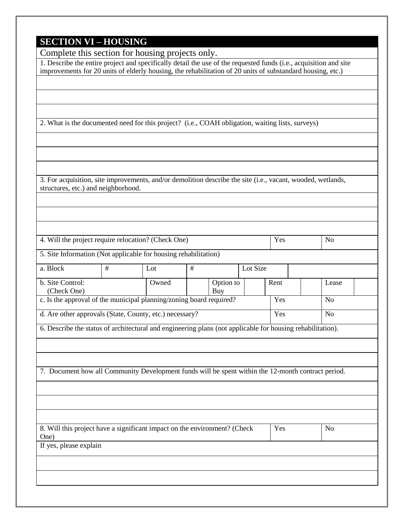### **SECTION VI – HOUSING**

| Complete this section for housing projects only.                                                                                                   |   |       |      |           |          |      |                |  |
|----------------------------------------------------------------------------------------------------------------------------------------------------|---|-------|------|-----------|----------|------|----------------|--|
| 1. Describe the entire project and specifically detail the use of the requested funds (i.e., acquisition and site                                  |   |       |      |           |          |      |                |  |
| improvements for 20 units of elderly housing, the rehabilitation of 20 units of substandard housing, etc.)                                         |   |       |      |           |          |      |                |  |
|                                                                                                                                                    |   |       |      |           |          |      |                |  |
|                                                                                                                                                    |   |       |      |           |          |      |                |  |
|                                                                                                                                                    |   |       |      |           |          |      |                |  |
| 2. What is the documented need for this project? (i.e., COAH obligation, waiting lists, surveys)                                                   |   |       |      |           |          |      |                |  |
|                                                                                                                                                    |   |       |      |           |          |      |                |  |
|                                                                                                                                                    |   |       |      |           |          |      |                |  |
|                                                                                                                                                    |   |       |      |           |          |      |                |  |
|                                                                                                                                                    |   |       |      |           |          |      |                |  |
| 3. For acquisition, site improvements, and/or demolition describe the site (i.e., vacant, wooded, wetlands,<br>structures, etc.) and neighborhood. |   |       |      |           |          |      |                |  |
|                                                                                                                                                    |   |       |      |           |          |      |                |  |
|                                                                                                                                                    |   |       |      |           |          |      |                |  |
|                                                                                                                                                    |   |       |      |           |          |      |                |  |
|                                                                                                                                                    |   |       |      |           |          |      |                |  |
| 4. Will the project require relocation? (Check One)                                                                                                |   |       |      |           |          | Yes  | N <sub>o</sub> |  |
| 5. Site Information (Not applicable for housing rehabilitation)                                                                                    |   |       |      |           |          |      |                |  |
| a. Block                                                                                                                                           | # | Lot   | $\#$ |           | Lot Size |      |                |  |
| b. Site Control:                                                                                                                                   |   | Owned |      | Option to |          | Rent | Lease          |  |
| (Check One)                                                                                                                                        |   |       |      | Buy       |          |      |                |  |
| c. Is the approval of the municipal planning/zoning board required?                                                                                |   |       |      |           |          | Yes  | N <sub>o</sub> |  |
| d. Are other approvals (State, County, etc.) necessary?                                                                                            |   |       |      |           |          | Yes  | N <sub>o</sub> |  |
| 6. Describe the status of architectural and engineering plans (not applicable for housing rehabilitation).                                         |   |       |      |           |          |      |                |  |
|                                                                                                                                                    |   |       |      |           |          |      |                |  |
|                                                                                                                                                    |   |       |      |           |          |      |                |  |
|                                                                                                                                                    |   |       |      |           |          |      |                |  |
| 7. Document how all Community Development funds will be spent within the 12-month contract period.                                                 |   |       |      |           |          |      |                |  |
|                                                                                                                                                    |   |       |      |           |          |      |                |  |
|                                                                                                                                                    |   |       |      |           |          |      |                |  |
|                                                                                                                                                    |   |       |      |           |          |      |                |  |
| 8. Will this project have a significant impact on the environment? (Check                                                                          |   |       |      |           |          | Yes  | N <sub>o</sub> |  |
| One)                                                                                                                                               |   |       |      |           |          |      |                |  |
| If yes, please explain                                                                                                                             |   |       |      |           |          |      |                |  |
|                                                                                                                                                    |   |       |      |           |          |      |                |  |
|                                                                                                                                                    |   |       |      |           |          |      |                |  |
|                                                                                                                                                    |   |       |      |           |          |      |                |  |
|                                                                                                                                                    |   |       |      |           |          |      |                |  |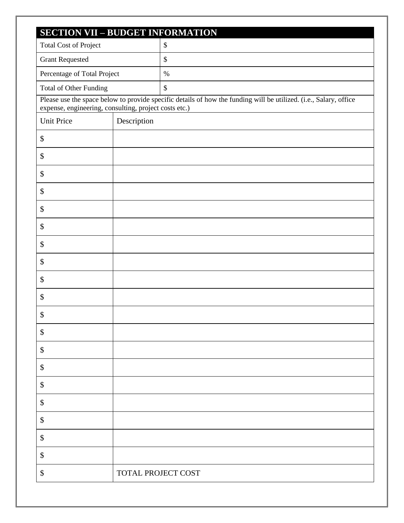| <b>SECTION VII - BUDGET INFORMATION</b>               |                    |                                                                                                                   |
|-------------------------------------------------------|--------------------|-------------------------------------------------------------------------------------------------------------------|
| <b>Total Cost of Project</b>                          |                    | $\$\,$                                                                                                            |
| <b>Grant Requested</b>                                |                    | $\$\,$                                                                                                            |
| Percentage of Total Project                           |                    | $\%$                                                                                                              |
| Total of Other Funding                                |                    | $\mathcal{S}$                                                                                                     |
| expense, engineering, consulting, project costs etc.) |                    | Please use the space below to provide specific details of how the funding will be utilized. (i.e., Salary, office |
| <b>Unit Price</b>                                     | Description        |                                                                                                                   |
| \$                                                    |                    |                                                                                                                   |
| \$                                                    |                    |                                                                                                                   |
| \$                                                    |                    |                                                                                                                   |
| \$                                                    |                    |                                                                                                                   |
| \$                                                    |                    |                                                                                                                   |
| \$                                                    |                    |                                                                                                                   |
| \$                                                    |                    |                                                                                                                   |
| \$                                                    |                    |                                                                                                                   |
| \$                                                    |                    |                                                                                                                   |
| \$                                                    |                    |                                                                                                                   |
| \$                                                    |                    |                                                                                                                   |
| \$                                                    |                    |                                                                                                                   |
| \$                                                    |                    |                                                                                                                   |
| \$                                                    |                    |                                                                                                                   |
| \$                                                    |                    |                                                                                                                   |
| \$                                                    |                    |                                                                                                                   |
| \$                                                    |                    |                                                                                                                   |
| \$                                                    |                    |                                                                                                                   |
| \$                                                    |                    |                                                                                                                   |
| \$                                                    | TOTAL PROJECT COST |                                                                                                                   |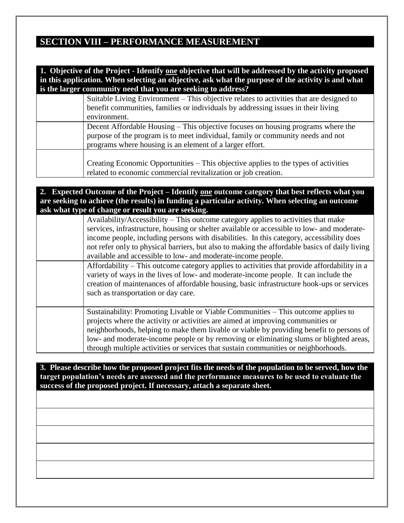#### **SECTION VIII – PERFORMANCE MEASUREMENT**

| 1. Objective of the Project - Identify one objective that will be addressed by the activity proposed<br>in this application. When selecting an objective, ask what the purpose of the activity is and what |
|------------------------------------------------------------------------------------------------------------------------------------------------------------------------------------------------------------|
| is the larger community need that you are seeking to address?                                                                                                                                              |
| Suitable Living Environment – This objective relates to activities that are designed to                                                                                                                    |
| benefit communities, families or individuals by addressing issues in their living                                                                                                                          |
| environment.                                                                                                                                                                                               |
| Decent Affordable Housing – This objective focuses on housing programs where the                                                                                                                           |
| purpose of the program is to meet individual, family or community needs and not                                                                                                                            |
| programs where housing is an element of a larger effort.                                                                                                                                                   |
| Creating Economic Opportunities – This objective applies to the types of activities<br>related to economic commercial revitalization or job creation.                                                      |

**2. Expected Outcome of the Project – Identify one outcome category that best reflects what you are seeking to achieve (the results) in funding a particular activity. When selecting an outcome ask what type of change or result you are seeking.**

| Availability/Accessibility – This outcome category applies to activities that make<br>services, infrastructure, housing or shelter available or accessible to low- and moderate-<br>income people, including persons with disabilities. In this category, accessibility does<br>not refer only to physical barriers, but also to making the affordable basics of daily living<br>available and accessible to low- and moderate-income people.    |
|--------------------------------------------------------------------------------------------------------------------------------------------------------------------------------------------------------------------------------------------------------------------------------------------------------------------------------------------------------------------------------------------------------------------------------------------------|
| Affordability – This outcome category applies to activities that provide affordability in a<br>variety of ways in the lives of low- and moderate-income people. It can include the<br>creation of maintenances of affordable housing, basic infrastructure hook-ups or services<br>such as transportation or day care.                                                                                                                           |
| Sustainability: Promoting Livable or Viable Communities – This outcome applies to<br>projects where the activity or activities are aimed at improving communities or<br>neighborhoods, helping to make them livable or viable by providing benefit to persons of<br>low- and moderate-income people or by removing or eliminating slums or blighted areas,<br>through multiple activities or services that sustain communities or neighborhoods. |

**3. Please describe how the proposed project fits the needs of the population to be served, how the target population's needs are assessed and the performance measures to be used to evaluate the success of the proposed project. If necessary, attach a separate sheet.**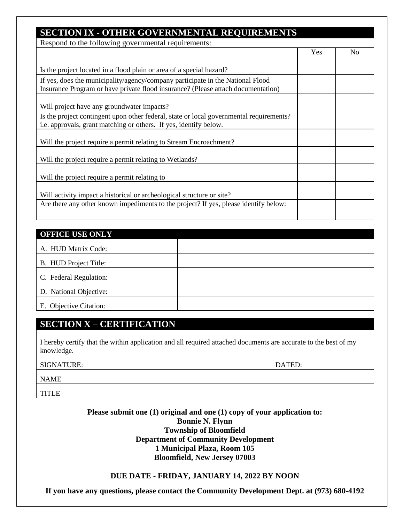|                                                                                                                                                               | Yes | N <sub>0</sub> |
|---------------------------------------------------------------------------------------------------------------------------------------------------------------|-----|----------------|
|                                                                                                                                                               |     |                |
| Is the project located in a flood plain or area of a special hazard?                                                                                          |     |                |
| If yes, does the municipality/agency/company participate in the National Flood                                                                                |     |                |
| Insurance Program or have private flood insurance? (Please attach documentation)                                                                              |     |                |
|                                                                                                                                                               |     |                |
| Will project have any groundwater impacts?                                                                                                                    |     |                |
| Is the project contingent upon other federal, state or local governmental requirements?                                                                       |     |                |
| i.e. approvals, grant matching or others. If yes, identify below.                                                                                             |     |                |
| Will the project require a permit relating to Stream Encroachment?                                                                                            |     |                |
|                                                                                                                                                               |     |                |
| Will the project require a permit relating to Wetlands?                                                                                                       |     |                |
|                                                                                                                                                               |     |                |
| Will the project require a permit relating to                                                                                                                 |     |                |
|                                                                                                                                                               |     |                |
| Will activity impact a historical or archeological structure or site?<br>Are there any other known impediments to the project? If yes, please identify below: |     |                |

| <b>OFFICE USE ONLY</b> |  |
|------------------------|--|
| A. HUD Matrix Code:    |  |
| B. HUD Project Title:  |  |
| C. Federal Regulation: |  |
| D. National Objective: |  |
| E. Objective Citation: |  |

#### **SECTION X – CERTIFICATION**

I hereby certify that the within application and all required attached documents are accurate to the best of my knowledge.

SIGNATURE: DATED:

NAME

**TITLE** 

Ī

**Please submit one (1) original and one (1) copy of your application to: Bonnie N. Flynn Township of Bloomfield Department of Community Development 1 Municipal Plaza, Room 105 Bloomfield, New Jersey 07003**

#### **DUE DATE - FRIDAY, JANUARY 14, 2022 BY NOON**

**If you have any questions, please contact the Community Development Dept. at (973) 680-4192**